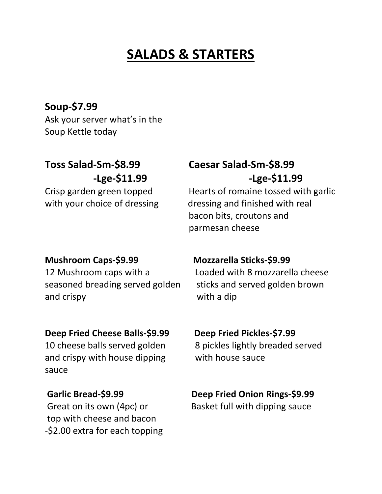# **SALADS & STARTERS**

**Soup-\$7.99** Ask your server what's in the Soup Kettle today

seasoned breading served golden sticks and served golden brown and crispy and crispy with a dip

### **Deep Fried Cheese Balls-\$9.99 Deep Fried Pickles-\$7.99**

10 cheese balls served golden 8 pickles lightly breaded served and crispy with house dipping with house sauce sauce

top with cheese and bacon -\$2.00 extra for each topping

## **Toss Salad-Sm-\$8.99 Caesar Salad-Sm-\$8.99 -Lge-\$11.99 -Lge-\$11.99**

Crisp garden green topped Hearts of romaine tossed with garlic with your choice of dressing dressing and finished with real bacon bits, croutons and parmesan cheese

## **Mushroom Caps-\$9.99 Mozzarella Sticks-\$9.99**

12 Mushroom caps with a Loaded with 8 mozzarella cheese

## **Garlic Bread-\$9.99 Deep Fried Onion Rings-\$9.99**

Great on its own (4pc) or Basket full with dipping sauce